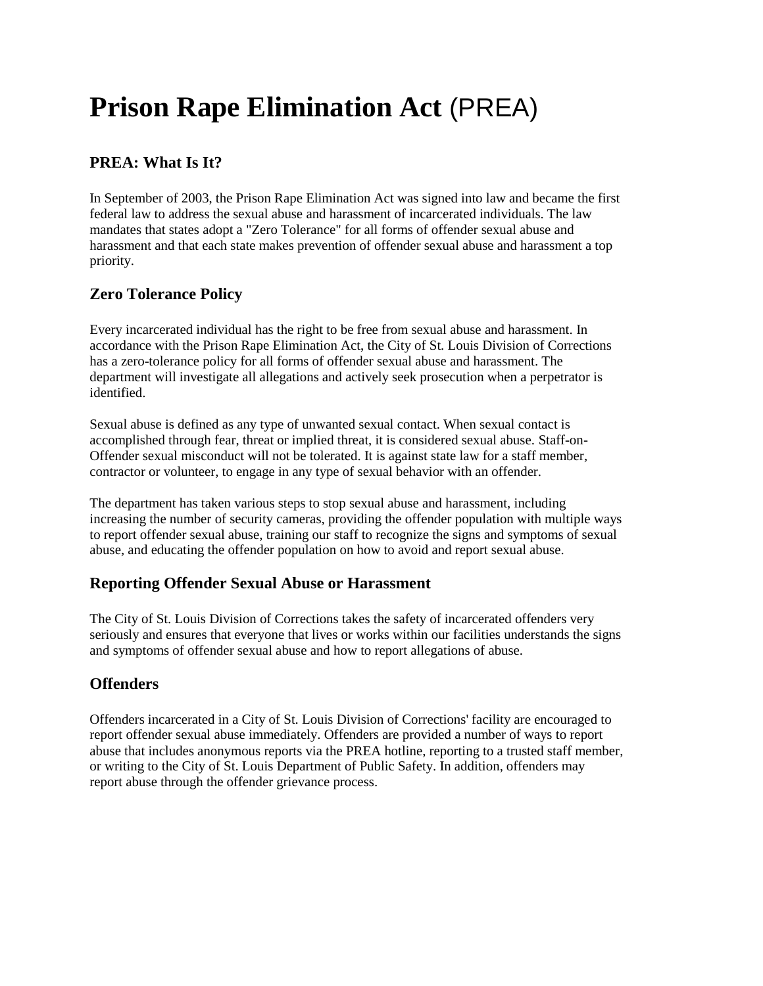# **Prison Rape Elimination Act** (PREA)

# **PREA: What Is It?**

In September of 2003, the Prison Rape Elimination Act was signed into law and became the first federal law to address the sexual abuse and harassment of incarcerated individuals. The law mandates that states adopt a "Zero Tolerance" for all forms of offender sexual abuse and harassment and that each state makes prevention of offender sexual abuse and harassment a top priority.

## **Zero Tolerance Policy**

Every incarcerated individual has the right to be free from sexual abuse and harassment. In accordance with the Prison Rape Elimination Act, the City of St. Louis Division of Corrections has a zero-tolerance policy for all forms of offender sexual abuse and harassment. The department will investigate all allegations and actively seek prosecution when a perpetrator is identified.

Sexual abuse is defined as any type of unwanted sexual contact. When sexual contact is accomplished through fear, threat or implied threat, it is considered sexual abuse. Staff-on-Offender sexual misconduct will not be tolerated. It is against state law for a staff member, contractor or volunteer, to engage in any type of sexual behavior with an offender.

The department has taken various steps to stop sexual abuse and harassment, including increasing the number of security cameras, providing the offender population with multiple ways to report offender sexual abuse, training our staff to recognize the signs and symptoms of sexual abuse, and educating the offender population on how to avoid and report sexual abuse.

## **Reporting Offender Sexual Abuse or Harassment**

The City of St. Louis Division of Corrections takes the safety of incarcerated offenders very seriously and ensures that everyone that lives or works within our facilities understands the signs and symptoms of offender sexual abuse and how to report allegations of abuse.

## **Offenders**

Offenders incarcerated in a City of St. Louis Division of Corrections' facility are encouraged to report offender sexual abuse immediately. Offenders are provided a number of ways to report abuse that includes anonymous reports via the PREA hotline, reporting to a trusted staff member, or writing to the City of St. Louis Department of Public Safety. In addition, offenders may report abuse through the offender grievance process.